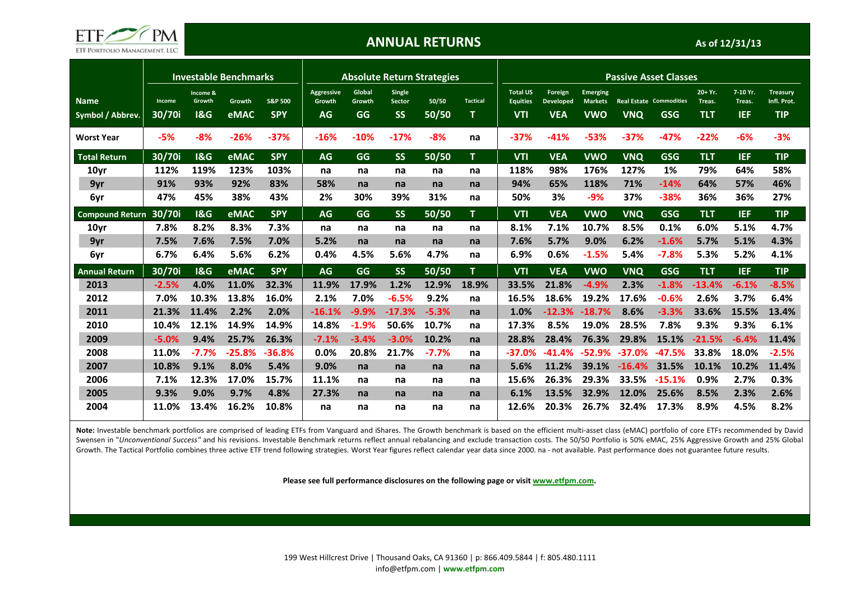

# ANNUAL RETURNS

As of 12/31/13

|                                 |                  |                                      | <b>Investable Benchmarks</b> |                                  | <b>Absolute Return Strategies</b>        |                        |                                      |                |                 | <b>Passive Asset Classes</b>                     |                                           |                                                 |            |                                       |                                  |                                  |                                              |
|---------------------------------|------------------|--------------------------------------|------------------------------|----------------------------------|------------------------------------------|------------------------|--------------------------------------|----------------|-----------------|--------------------------------------------------|-------------------------------------------|-------------------------------------------------|------------|---------------------------------------|----------------------------------|----------------------------------|----------------------------------------------|
| <b>Name</b><br>Symbol / Abbrev. | Income<br>30/70i | Income &<br>Growth<br><b>1&amp;G</b> | Growth<br>eMAC               | <b>S&amp;P 500</b><br><b>SPY</b> | <b>Aggressive</b><br>Growth<br><b>AG</b> | Global<br>Growth<br>GG | Single<br><b>Sector</b><br><b>SS</b> | 50/50<br>50/50 | <b>Tactical</b> | <b>Total US</b><br><b>Equities</b><br><b>VTI</b> | Foreign<br><b>Developed</b><br><b>VEA</b> | <b>Emerging</b><br><b>Markets</b><br><b>VWO</b> | <b>VNQ</b> | <b>Real Estate Commodities</b><br>GSG | $20+Yr.$<br>Treas.<br><b>TLT</b> | 7-10 Yr.<br>Treas.<br><b>IEF</b> | <b>Treasury</b><br>Infl. Prot.<br><b>TIP</b> |
| <b>Worst Year</b>               | $-5%$            | $-8%$                                | $-26%$                       | $-37%$                           | $-16%$                                   | $-10%$                 | $-17%$                               | -8%            | na              | $-37%$                                           | $-41%$                                    | $-53%$                                          | $-37%$     | $-47%$                                | $-22%$                           | $-6%$                            | $-3%$                                        |
| <b>Total Return</b>             | 30/70i           | <b>1&amp;G</b>                       | eMAC                         | <b>SPY</b>                       | <b>AG</b>                                | GG                     | <b>SS</b>                            | 50/50          | T.              | <b>VTI</b>                                       | <b>VEA</b>                                | <b>VWO</b>                                      | <b>VNQ</b> | GSG                                   | <b>TLT</b>                       | <b>IEF</b>                       | <b>TIP</b>                                   |
| 10yr                            | 112%             | 119%                                 | 123%                         | 103%                             | na                                       | na                     | na                                   | na             | na              | 118%                                             | 98%                                       | 176%                                            | 127%       | 1%                                    | 79%                              | 64%                              | 58%                                          |
| 9yr                             | 91%              | 93%                                  | 92%                          | 83%                              | 58%                                      | na                     | na                                   | na             | na              | 94%                                              | 65%                                       | 118%                                            | 71%        | $-14%$                                | 64%                              | 57%                              | 46%                                          |
| 6yr                             | 47%              | 45%                                  | 38%                          | 43%                              | 2%                                       | 30%                    | 39%                                  | 31%            | na              | 50%                                              | 3%                                        | $-9%$                                           | 37%        | $-38%$                                | 36%                              | 36%                              | 27%                                          |
| <b>Compound Return</b>          | 30/70i           | 18G                                  | eMAC                         | <b>SPY</b>                       | <b>AG</b>                                | GG                     | <b>SS</b>                            | 50/50          | T.              | <b>VTI</b>                                       | <b>VEA</b>                                | <b>VWO</b>                                      | <b>VNQ</b> | GSG                                   | <b>TLT</b>                       | <b>IEF</b>                       | <b>TIP</b>                                   |
| 10 <sub>yr</sub>                | 7.8%             | 8.2%                                 | 8.3%                         | 7.3%                             | na                                       | na                     | na                                   | na             | na              | 8.1%                                             | 7.1%                                      | 10.7%                                           | 8.5%       | 0.1%                                  | 6.0%                             | 5.1%                             | 4.7%                                         |
| 9yr                             | 7.5%             | 7.6%                                 | 7.5%                         | 7.0%                             | 5.2%                                     | na                     | na                                   | na             | na              | 7.6%                                             | 5.7%                                      | 9.0%                                            | 6.2%       | $-1.6%$                               | 5.7%                             | 5.1%                             | 4.3%                                         |
| 6yr                             | 6.7%             | 6.4%                                 | 5.6%                         | 6.2%                             | 0.4%                                     | 4.5%                   | 5.6%                                 | 4.7%           | na              | 6.9%                                             | 0.6%                                      | $-1.5%$                                         | 5.4%       | $-7.8%$                               | 5.3%                             | 5.2%                             | 4.1%                                         |
| <b>Annual Return</b>            | 30/70i           | <b>1&amp;G</b>                       | eMAC                         | <b>SPY</b>                       | <b>AG</b>                                | GG                     | <b>SS</b>                            | 50/50          | T.              | <b>VTI</b>                                       | <b>VEA</b>                                | <b>VWO</b>                                      | <b>VNQ</b> | <b>GSG</b>                            | <b>TLT</b>                       | <b>IEF</b>                       | <b>TIP</b>                                   |
| 2013                            | $-2.5%$          | 4.0%                                 | 11.0%                        | 32.3%                            | 11.9%                                    | 17.9%                  | 1.2%                                 | 12.9%          | 18.9%           | 33.5%                                            | 21.8%                                     | $-4.9%$                                         | 2.3%       | $-1.8%$                               | $-13.4%$                         | $-6.1%$                          | $-8.5%$                                      |
| 2012                            | 7.0%             | 10.3%                                | 13.8%                        | 16.0%                            | 2.1%                                     | 7.0%                   | $-6.5%$                              | 9.2%           | na              | 16.5%                                            | 18.6%                                     | 19.2%                                           | 17.6%      | $-0.6%$                               | 2.6%                             | 3.7%                             | 6.4%                                         |
| 2011                            | 21.3%            | 11.4%                                | 2.2%                         | 2.0%                             | $-16.1%$                                 | $-9.9%$                | $-17.3%$                             | $-5.3%$        | na              | 1.0%                                             | $-12.3%$                                  | $-18.7%$                                        | 8.6%       | $-3.3%$                               | 33.6%                            | 15.5%                            | 13.4%                                        |
| 2010                            | 10.4%            | 12.1%                                | 14.9%                        | 14.9%                            | 14.8%                                    | $-1.9%$                | 50.6%                                | 10.7%          | na              | 17.3%                                            | 8.5%                                      | 19.0%                                           | 28.5%      | 7.8%                                  | 9.3%                             | 9.3%                             | 6.1%                                         |
| 2009                            | $-5.0%$          | 9.4%                                 | 25.7%                        | 26.3%                            | $-7.1%$                                  | $-3.4%$                | $-3.0%$                              | 10.2%          | na              | 28.8%                                            | 28.4%                                     | 76.3%                                           | 29.8%      | 15.1%                                 | $-21.5%$                         | $-6.4%$                          | 11.4%                                        |
| 2008                            | 11.0%            | $-7.7%$                              | $-25.8%$                     | $-36.8%$                         | 0.0%                                     | 20.8%                  | 21.7%                                | $-7.7%$        | na              | $-37.0%$                                         | $-41.4\%$                                 | $-52.9%$                                        | $-37.0%$   | -47.5%                                | 33.8%                            | 18.0%                            | $-2.5%$                                      |
| 2007                            | 10.8%            | 9.1%                                 | 8.0%                         | 5.4%                             | 9.0%                                     | na                     | na                                   | na             | na              | 5.6%                                             | 11.2%                                     | 39.1%                                           | $-16.4%$   | 31.5%                                 | 10.1%                            | 10.2%                            | 11.4%                                        |
| 2006                            | 7.1%             | 12.3%                                | 17.0%                        | 15.7%                            | 11.1%                                    | na                     | na                                   | na             | na              | 15.6%                                            | 26.3%                                     | 29.3%                                           | 33.5%      | $-15.1%$                              | 0.9%                             | 2.7%                             | 0.3%                                         |
| 2005                            | 9.3%             | 9.0%                                 | 9.7%                         | 4.8%                             | 27.3%                                    | na                     | na                                   | na             | na              | 6.1%                                             | 13.5%                                     | 32.9%                                           | 12.0%      | 25.6%                                 | 8.5%                             | 2.3%                             | 2.6%                                         |
| 2004                            | 11.0%            | 13.4%                                | 16.2%                        | 10.8%                            | na                                       | na                     | na                                   | na             | na              | 12.6%                                            | 20.3%                                     | 26.7%                                           | 32.4%      | 17.3%                                 | 8.9%                             | 4.5%                             | 8.2%                                         |

Note: Investable benchmark portfolios are comprised of leading ETFs from Vanguard and iShares. The Growth benchmark is based on the efficient multi-asset class (eMAC) portfolio of core ETFs recommended by David Swensen in "Unconventional Success" and his revisions. Investable Benchmark returns reflect annual rebalancing and exclude transaction costs. The 50/50 Portfolio is 50% eMAC, 25% Aggressive Growth and 25% Global Growth. The Tactical Portfolio combines three active ETF trend following strategies. Worst Year figures reflect calendar year data since 2000. na - not available. Past performance does not guarantee future results.

Please see full performance disclosures on the following page or visit www.etfpm.com.